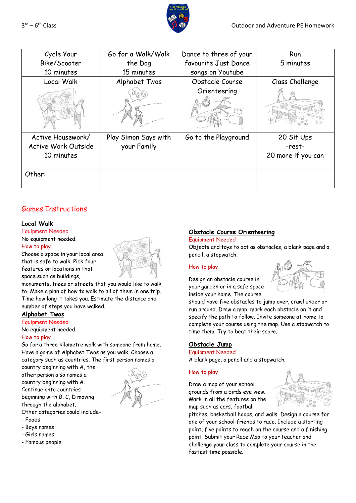

| $3^{\text{rd}} - 6^{\text{th}}$ Class |  |
|---------------------------------------|--|
|---------------------------------------|--|

| Cycle Your<br>Bike/Scooter<br>10 minutes               | Go for a Walk/Walk<br>the Dog<br>15 minutes | Dance to three of your<br>favourite Just Dance<br>songs on Youtube | Run<br>5 minutes                           |
|--------------------------------------------------------|---------------------------------------------|--------------------------------------------------------------------|--------------------------------------------|
| Local Walk                                             | Alphabet Twos                               | Obstacle Course                                                    | Class Challenge                            |
|                                                        |                                             | Orienteering                                                       |                                            |
| Active Housework/<br>Active Work Outside<br>10 minutes | Play Simon Says with<br>your Family         | Go to the Playground                                               | 20 Sit Ups<br>-rest-<br>20 more if you can |
| Other:                                                 |                                             |                                                                    |                                            |

# Games Instructions

### **Local Walk**

# Equipment Needed

No equipment needed. How to play

Choose a space in your local area that is safe to walk. Pick four features or locations in that space such as buildings,



monuments, trees or streets that you would like to walk to. Make a plan of how to walk to all of them in one trip. Time how long it takes you. Estimate the distance and number of steps you have walked.

## **Alphabet Twos**

Equipment Needed

# No equipment needed.

## How to play

Go for a three kilometre walk with someone from home. Have a game of Alphabet Twos as you walk. Choose a category such as countries. The first person names a

country beginning with A, the other person also names a country beginning with A. Continue onto countries

beginning with B, C, D moving through the alphabet.



Other categories could include-

- Foods
- Boys names
- Girls names
- Famous people

# **Obstacle Course Orienteering**

#### Equipment Needed

Objects and toys to act as obstacles, a blank page and a pencil, a stopwatch.

### How to play





should have five obstacles to jump over, crawl under or run around. Draw a map, mark each obstacle on it and specify the path to follow. Invite someone at home to complete your course using the map. Use a stopwatch to time them. Try to beat their score.

# **Obstacle Jump**

Equipment Needed A blank page, a pencil and a stopwatch.

### How to play

Draw a map of your school grounds from a birds eye view. Mark in all the features on the map such as cars, football

pitches, basketball hoops, and walls. Design a course for one of your school-friends to race. Include a starting point, five points to reach on the course and a finishing point. Submit your Race Map to your teacher and challenge your class to complete your course in the fastest time possible.